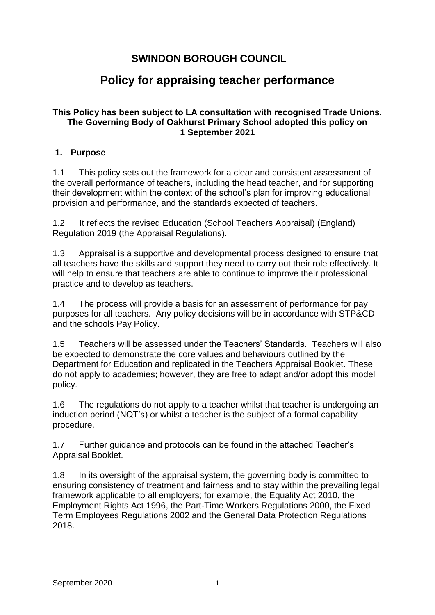## **SWINDON BOROUGH COUNCIL**

# **Policy for appraising teacher performance**

#### **This Policy has been subject to LA consultation with recognised Trade Unions. The Governing Body of Oakhurst Primary School adopted this policy on 1 September 2021**

#### **1. Purpose**

1.1 This policy sets out the framework for a clear and consistent assessment of the overall performance of teachers, including the head teacher, and for supporting their development within the context of the school's plan for improving educational provision and performance, and the standards expected of teachers.

1.2 It reflects the revised Education (School Teachers Appraisal) (England) Regulation 2019 (the Appraisal Regulations).

1.3 Appraisal is a supportive and developmental process designed to ensure that all teachers have the skills and support they need to carry out their role effectively. It will help to ensure that teachers are able to continue to improve their professional practice and to develop as teachers.

1.4 The process will provide a basis for an assessment of performance for pay purposes for all teachers. Any policy decisions will be in accordance with STP&CD and the schools Pay Policy.

1.5 Teachers will be assessed under the Teachers' Standards. Teachers will also be expected to demonstrate the core values and behaviours outlined by the Department for Education and replicated in the Teachers Appraisal Booklet. These do not apply to academies; however, they are free to adapt and/or adopt this model policy.

1.6 The regulations do not apply to a teacher whilst that teacher is undergoing an induction period (NQT's) or whilst a teacher is the subject of a formal capability procedure.

1.7 Further guidance and protocols can be found in the attached Teacher's Appraisal Booklet.

1.8 In its oversight of the appraisal system, the governing body is committed to ensuring consistency of treatment and fairness and to stay within the prevailing legal framework applicable to all employers; for example, the Equality Act 2010, the Employment Rights Act 1996, the Part-Time Workers Regulations 2000, the Fixed Term Employees Regulations 2002 and the General Data Protection Regulations 2018.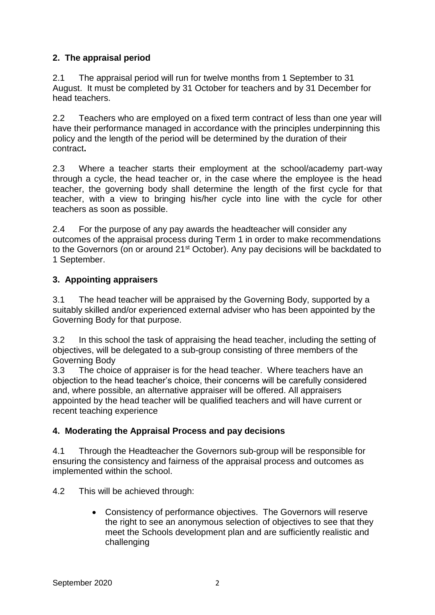### **2. The appraisal period**

2.1 The appraisal period will run for twelve months from 1 September to 31 August. It must be completed by 31 October for teachers and by 31 December for head teachers.

2.2 Teachers who are employed on a fixed term contract of less than one year will have their performance managed in accordance with the principles underpinning this policy and the length of the period will be determined by the duration of their contract**.** 

2.3 Where a teacher starts their employment at the school/academy part-way through a cycle, the head teacher or, in the case where the employee is the head teacher, the governing body shall determine the length of the first cycle for that teacher, with a view to bringing his/her cycle into line with the cycle for other teachers as soon as possible.

2.4 For the purpose of any pay awards the headteacher will consider any outcomes of the appraisal process during Term 1 in order to make recommendations to the Governors (on or around 21<sup>st</sup> October). Any pay decisions will be backdated to 1 September.

### **3. Appointing appraisers**

3.1 The head teacher will be appraised by the Governing Body, supported by a suitably skilled and/or experienced external adviser who has been appointed by the Governing Body for that purpose.

3.2 In this school the task of appraising the head teacher, including the setting of objectives, will be delegated to a sub-group consisting of three members of the Governing Body

3.3 The choice of appraiser is for the head teacher. Where teachers have an objection to the head teacher's choice, their concerns will be carefully considered and, where possible, an alternative appraiser will be offered. All appraisers appointed by the head teacher will be qualified teachers and will have current or recent teaching experience

### **4. Moderating the Appraisal Process and pay decisions**

4.1 Through the Headteacher the Governors sub-group will be responsible for ensuring the consistency and fairness of the appraisal process and outcomes as implemented within the school.

4.2 This will be achieved through:

• Consistency of performance objectives. The Governors will reserve the right to see an anonymous selection of objectives to see that they meet the Schools development plan and are sufficiently realistic and challenging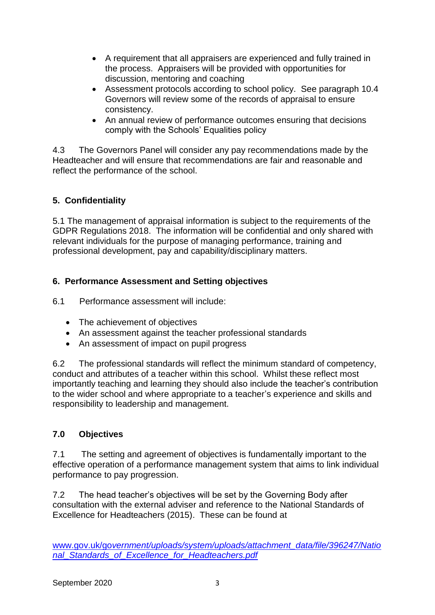- A requirement that all appraisers are experienced and fully trained in the process. Appraisers will be provided with opportunities for discussion, mentoring and coaching
- Assessment protocols according to school policy. See paragraph 10.4 Governors will review some of the records of appraisal to ensure consistency.
- An annual review of performance outcomes ensuring that decisions comply with the Schools' Equalities policy

4.3 The Governors Panel will consider any pay recommendations made by the Headteacher and will ensure that recommendations are fair and reasonable and reflect the performance of the school.

### **5. Confidentiality**

5.1 The management of appraisal information is subject to the requirements of the GDPR Regulations 2018. The information will be confidential and only shared with relevant individuals for the purpose of managing performance, training and professional development, pay and capability/disciplinary matters.

### **6. Performance Assessment and Setting objectives**

6.1 Performance assessment will include:

- The achievement of objectives
- An assessment against the teacher professional standards
- An assessment of impact on pupil progress

6.2 The professional standards will reflect the minimum standard of competency, conduct and attributes of a teacher within this school. Whilst these reflect most importantly teaching and learning they should also include the teacher's contribution to the wider school and where appropriate to a teacher's experience and skills and responsibility to leadership and management.

### **7.0 Objectives**

7.1 The setting and agreement of objectives is fundamentally important to the effective operation of a performance management system that aims to link individual performance to pay progression.

7.2 The head teacher's objectives will be set by the Governing Body after consultation with the external adviser and reference to the National Standards of Excellence for Headteachers (2015). These can be found at

www.gov.uk/go*[vernment/uploads/system/uploads/attachment\\_data/file/396247/Natio](http://www.gov.uk/government/uploads/system/uploads/attachment_data/file/396247/National_Standards_of_Excellence_for_Headteachers.pdf) [nal\\_Standards\\_of\\_Excellence\\_for\\_Headteachers.pdf](http://www.gov.uk/government/uploads/system/uploads/attachment_data/file/396247/National_Standards_of_Excellence_for_Headteachers.pdf)*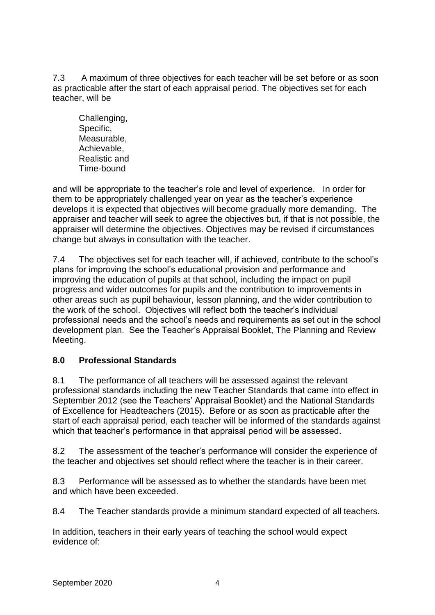7.3 A maximum of three objectives for each teacher will be set before or as soon as practicable after the start of each appraisal period. The objectives set for each teacher, will be

Challenging, Specific, Measurable, Achievable, Realistic and Time-bound

and will be appropriate to the teacher's role and level of experience. In order for them to be appropriately challenged year on year as the teacher's experience develops it is expected that objectives will become gradually more demanding. The appraiser and teacher will seek to agree the objectives but, if that is not possible, the appraiser will determine the objectives. Objectives may be revised if circumstances change but always in consultation with the teacher.

7.4 The objectives set for each teacher will, if achieved, contribute to the school's plans for improving the school's educational provision and performance and improving the education of pupils at that school, including the impact on pupil progress and wider outcomes for pupils and the contribution to improvements in other areas such as pupil behaviour, lesson planning, and the wider contribution to the work of the school. Objectives will reflect both the teacher's individual professional needs and the school's needs and requirements as set out in the school development plan. See the Teacher's Appraisal Booklet, The Planning and Review Meeting.

### **8.0 Professional Standards**

8.1 The performance of all teachers will be assessed against the relevant professional standards including the new Teacher Standards that came into effect in September 2012 (see the Teachers' Appraisal Booklet) and the National Standards of Excellence for Headteachers (2015). Before or as soon as practicable after the start of each appraisal period, each teacher will be informed of the standards against which that teacher's performance in that appraisal period will be assessed.

8.2 The assessment of the teacher's performance will consider the experience of the teacher and objectives set should reflect where the teacher is in their career.

8.3 Performance will be assessed as to whether the standards have been met and which have been exceeded.

8.4 The Teacher standards provide a minimum standard expected of all teachers.

In addition, teachers in their early years of teaching the school would expect evidence of: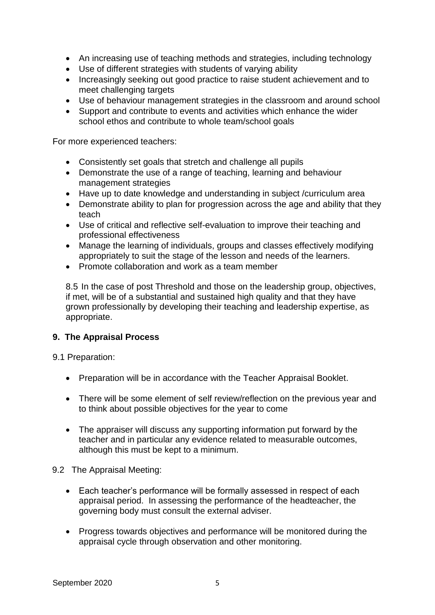- An increasing use of teaching methods and strategies, including technology
- Use of different strategies with students of varying ability
- Increasingly seeking out good practice to raise student achievement and to meet challenging targets
- Use of behaviour management strategies in the classroom and around school
- Support and contribute to events and activities which enhance the wider school ethos and contribute to whole team/school goals

For more experienced teachers:

- Consistently set goals that stretch and challenge all pupils
- Demonstrate the use of a range of teaching, learning and behaviour management strategies
- Have up to date knowledge and understanding in subject /curriculum area
- Demonstrate ability to plan for progression across the age and ability that they teach
- Use of critical and reflective self-evaluation to improve their teaching and professional effectiveness
- Manage the learning of individuals, groups and classes effectively modifying appropriately to suit the stage of the lesson and needs of the learners.
- Promote collaboration and work as a team member

8.5 In the case of post Threshold and those on the leadership group, objectives, if met, will be of a substantial and sustained high quality and that they have grown professionally by developing their teaching and leadership expertise, as appropriate.

#### **9. The Appraisal Process**

9.1 Preparation:

- Preparation will be in accordance with the Teacher Appraisal Booklet.
- There will be some element of self review/reflection on the previous year and to think about possible objectives for the year to come
- The appraiser will discuss any supporting information put forward by the teacher and in particular any evidence related to measurable outcomes, although this must be kept to a minimum.

#### 9.2 The Appraisal Meeting:

- Each teacher's performance will be formally assessed in respect of each appraisal period. In assessing the performance of the headteacher, the governing body must consult the external adviser.
- Progress towards objectives and performance will be monitored during the appraisal cycle through observation and other monitoring.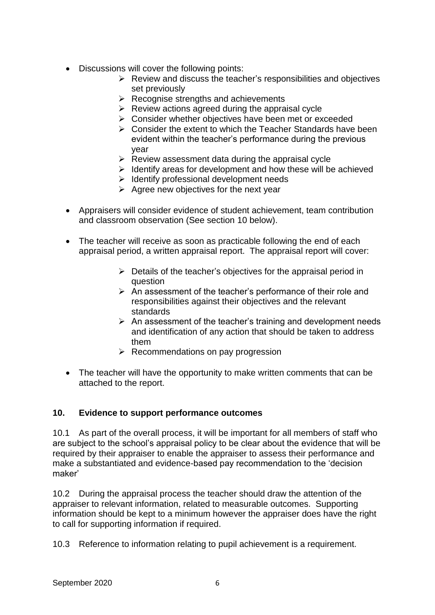- Discussions will cover the following points:
	- $\triangleright$  Review and discuss the teacher's responsibilities and objectives set previously
	- $\triangleright$  Recognise strengths and achievements
	- $\triangleright$  Review actions agreed during the appraisal cycle
	- ➢ Consider whether objectives have been met or exceeded
	- $\triangleright$  Consider the extent to which the Teacher Standards have been evident within the teacher's performance during the previous year
	- $\triangleright$  Review assessment data during the appraisal cycle
	- $\triangleright$  Identify areas for development and how these will be achieved
	- ➢ Identify professional development needs
	- $\triangleright$  Agree new objectives for the next year
- Appraisers will consider evidence of student achievement, team contribution and classroom observation (See section 10 below).
- The teacher will receive as soon as practicable following the end of each appraisal period, a written appraisal report. The appraisal report will cover:
	- $\triangleright$  Details of the teacher's objectives for the appraisal period in question
	- ➢ An assessment of the teacher's performance of their role and responsibilities against their objectives and the relevant standards
	- $\triangleright$  An assessment of the teacher's training and development needs and identification of any action that should be taken to address them
	- $\triangleright$  Recommendations on pay progression
- The teacher will have the opportunity to make written comments that can be attached to the report.

#### **10. Evidence to support performance outcomes**

10.1 As part of the overall process, it will be important for all members of staff who are subject to the school's appraisal policy to be clear about the evidence that will be required by their appraiser to enable the appraiser to assess their performance and make a substantiated and evidence-based pay recommendation to the 'decision maker'

10.2 During the appraisal process the teacher should draw the attention of the appraiser to relevant information, related to measurable outcomes. Supporting information should be kept to a minimum however the appraiser does have the right to call for supporting information if required.

10.3 Reference to information relating to pupil achievement is a requirement.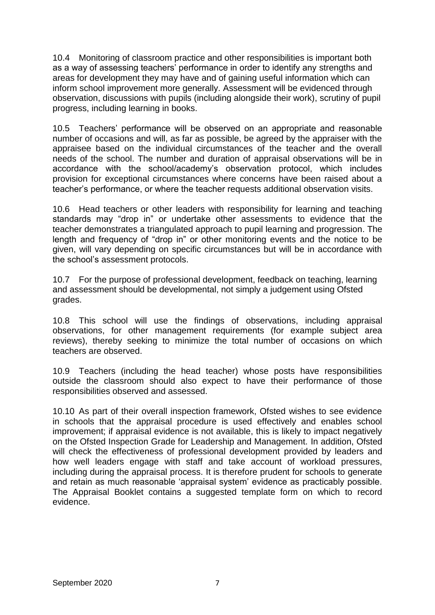10.4 Monitoring of classroom practice and other responsibilities is important both as a way of assessing teachers' performance in order to identify any strengths and areas for development they may have and of gaining useful information which can inform school improvement more generally. Assessment will be evidenced through observation, discussions with pupils (including alongside their work), scrutiny of pupil progress, including learning in books.

10.5 Teachers' performance will be observed on an appropriate and reasonable number of occasions and will, as far as possible, be agreed by the appraiser with the appraisee based on the individual circumstances of the teacher and the overall needs of the school. The number and duration of appraisal observations will be in accordance with the school/academy's observation protocol, which includes provision for exceptional circumstances where concerns have been raised about a teacher's performance, or where the teacher requests additional observation visits.

10.6 Head teachers or other leaders with responsibility for learning and teaching standards may "drop in" or undertake other assessments to evidence that the teacher demonstrates a triangulated approach to pupil learning and progression. The length and frequency of "drop in" or other monitoring events and the notice to be given, will vary depending on specific circumstances but will be in accordance with the school's assessment protocols.

10.7 For the purpose of professional development, feedback on teaching, learning and assessment should be developmental, not simply a judgement using Ofsted grades.

10.8 This school will use the findings of observations, including appraisal observations, for other management requirements (for example subject area reviews), thereby seeking to minimize the total number of occasions on which teachers are observed.

10.9 Teachers (including the head teacher) whose posts have responsibilities outside the classroom should also expect to have their performance of those responsibilities observed and assessed.

10.10 As part of their overall inspection framework, Ofsted wishes to see evidence in schools that the appraisal procedure is used effectively and enables school improvement; if appraisal evidence is not available, this is likely to impact negatively on the Ofsted Inspection Grade for Leadership and Management. In addition, Ofsted will check the effectiveness of professional development provided by leaders and how well leaders engage with staff and take account of workload pressures, including during the appraisal process. It is therefore prudent for schools to generate and retain as much reasonable 'appraisal system' evidence as practicably possible. The Appraisal Booklet contains a suggested template form on which to record evidence.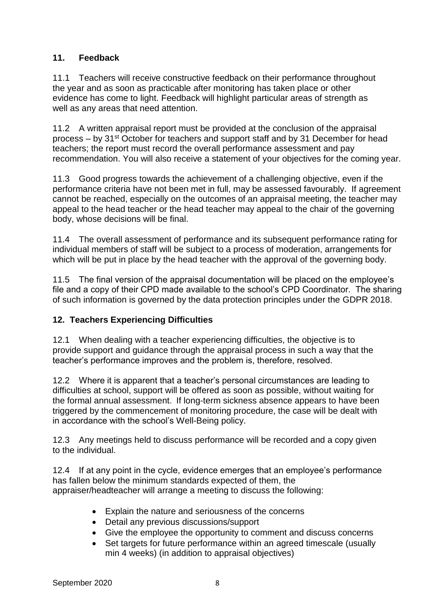### **11. Feedback**

11.1 Teachers will receive constructive feedback on their performance throughout the year and as soon as practicable after monitoring has taken place or other evidence has come to light. Feedback will highlight particular areas of strength as well as any areas that need attention.

11.2 A written appraisal report must be provided at the conclusion of the appraisal process – by 31st October for teachers and support staff and by 31 December for head teachers; the report must record the overall performance assessment and pay recommendation. You will also receive a statement of your objectives for the coming year.

11.3 Good progress towards the achievement of a challenging objective, even if the performance criteria have not been met in full, may be assessed favourably. If agreement cannot be reached, especially on the outcomes of an appraisal meeting, the teacher may appeal to the head teacher or the head teacher may appeal to the chair of the governing body, whose decisions will be final.

11.4 The overall assessment of performance and its subsequent performance rating for individual members of staff will be subject to a process of moderation, arrangements for which will be put in place by the head teacher with the approval of the governing body.

11.5 The final version of the appraisal documentation will be placed on the employee's file and a copy of their CPD made available to the school's CPD Coordinator. The sharing of such information is governed by the data protection principles under the GDPR 2018.

### **12. Teachers Experiencing Difficulties**

12.1 When dealing with a teacher experiencing difficulties, the objective is to provide support and guidance through the appraisal process in such a way that the teacher's performance improves and the problem is, therefore, resolved.

12.2 Where it is apparent that a teacher's personal circumstances are leading to difficulties at school, support will be offered as soon as possible, without waiting for the formal annual assessment. If long-term sickness absence appears to have been triggered by the commencement of monitoring procedure, the case will be dealt with in accordance with the school's Well-Being policy.

12.3 Any meetings held to discuss performance will be recorded and a copy given to the individual.

12.4 If at any point in the cycle, evidence emerges that an employee's performance has fallen below the minimum standards expected of them, the appraiser/headteacher will arrange a meeting to discuss the following:

- Explain the nature and seriousness of the concerns
- Detail any previous discussions/support
- Give the employee the opportunity to comment and discuss concerns
- Set targets for future performance within an agreed timescale (usually min 4 weeks) (in addition to appraisal objectives)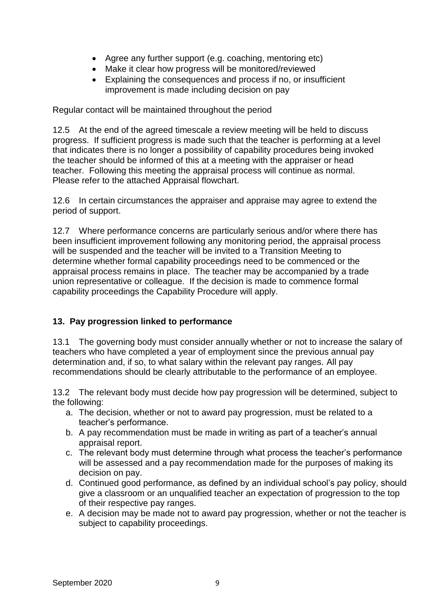- Agree any further support (e.g. coaching, mentoring etc)
- Make it clear how progress will be monitored/reviewed
- Explaining the consequences and process if no, or insufficient improvement is made including decision on pay

Regular contact will be maintained throughout the period

12.5 At the end of the agreed timescale a review meeting will be held to discuss progress. If sufficient progress is made such that the teacher is performing at a level that indicates there is no longer a possibility of capability procedures being invoked the teacher should be informed of this at a meeting with the appraiser or head teacher. Following this meeting the appraisal process will continue as normal. Please refer to the attached Appraisal flowchart.

12.6 In certain circumstances the appraiser and appraise may agree to extend the period of support.

12.7 Where performance concerns are particularly serious and/or where there has been insufficient improvement following any monitoring period, the appraisal process will be suspended and the teacher will be invited to a Transition Meeting to determine whether formal capability proceedings need to be commenced or the appraisal process remains in place. The teacher may be accompanied by a trade union representative or colleague. If the decision is made to commence formal capability proceedings the Capability Procedure will apply.

### **13. Pay progression linked to performance**

13.1 The governing body must consider annually whether or not to increase the salary of teachers who have completed a year of employment since the previous annual pay determination and, if so, to what salary within the relevant pay ranges. All pay recommendations should be clearly attributable to the performance of an employee.

13.2 The relevant body must decide how pay progression will be determined, subject to the following:

- a. The decision, whether or not to award pay progression, must be related to a teacher's performance.
- b. A pay recommendation must be made in writing as part of a teacher's annual appraisal report.
- c. The relevant body must determine through what process the teacher's performance will be assessed and a pay recommendation made for the purposes of making its decision on pay.
- d. Continued good performance, as defined by an individual school's pay policy, should give a classroom or an unqualified teacher an expectation of progression to the top of their respective pay ranges.
- e. A decision may be made not to award pay progression, whether or not the teacher is subject to capability proceedings.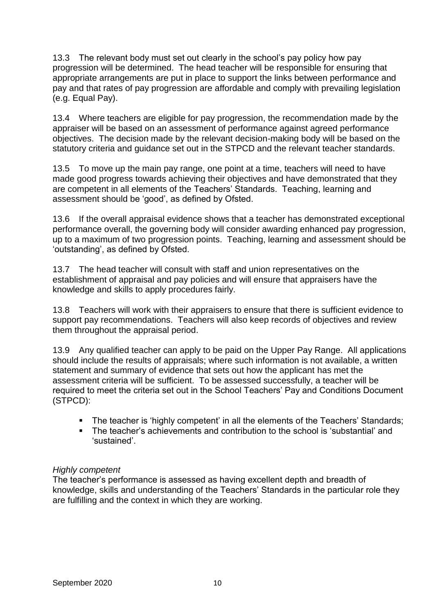13.3 The relevant body must set out clearly in the school's pay policy how pay progression will be determined. The head teacher will be responsible for ensuring that appropriate arrangements are put in place to support the links between performance and pay and that rates of pay progression are affordable and comply with prevailing legislation (e.g. Equal Pay).

13.4 Where teachers are eligible for pay progression, the recommendation made by the appraiser will be based on an assessment of performance against agreed performance objectives. The decision made by the relevant decision-making body will be based on the statutory criteria and guidance set out in the STPCD and the relevant teacher standards.

13.5 To move up the main pay range, one point at a time, teachers will need to have made good progress towards achieving their objectives and have demonstrated that they are competent in all elements of the Teachers' Standards. Teaching, learning and assessment should be 'good', as defined by Ofsted.

13.6 If the overall appraisal evidence shows that a teacher has demonstrated exceptional performance overall, the governing body will consider awarding enhanced pay progression, up to a maximum of two progression points. Teaching, learning and assessment should be 'outstanding', as defined by Ofsted.

13.7 The head teacher will consult with staff and union representatives on the establishment of appraisal and pay policies and will ensure that appraisers have the knowledge and skills to apply procedures fairly.

13.8 Teachers will work with their appraisers to ensure that there is sufficient evidence to support pay recommendations. Teachers will also keep records of objectives and review them throughout the appraisal period.

13.9 Any qualified teacher can apply to be paid on the Upper Pay Range. All applications should include the results of appraisals; where such information is not available, a written statement and summary of evidence that sets out how the applicant has met the assessment criteria will be sufficient. To be assessed successfully, a teacher will be required to meet the criteria set out in the School Teachers' Pay and Conditions Document (STPCD):

- The teacher is 'highly competent' in all the elements of the Teachers' Standards;
- The teacher's achievements and contribution to the school is 'substantial' and 'sustained'.

### *Highly competent*

The teacher's performance is assessed as having excellent depth and breadth of knowledge, skills and understanding of the Teachers' Standards in the particular role they are fulfilling and the context in which they are working.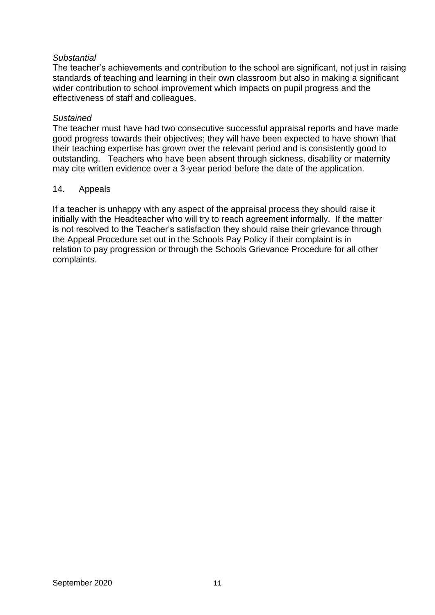#### *Substantial*

The teacher's achievements and contribution to the school are significant, not just in raising standards of teaching and learning in their own classroom but also in making a significant wider contribution to school improvement which impacts on pupil progress and the effectiveness of staff and colleagues.

#### *Sustained*

The teacher must have had two consecutive successful appraisal reports and have made good progress towards their objectives; they will have been expected to have shown that their teaching expertise has grown over the relevant period and is consistently good to outstanding. Teachers who have been absent through sickness, disability or maternity may cite written evidence over a 3-year period before the date of the application.

#### 14. Appeals

If a teacher is unhappy with any aspect of the appraisal process they should raise it initially with the Headteacher who will try to reach agreement informally. If the matter is not resolved to the Teacher's satisfaction they should raise their grievance through the Appeal Procedure set out in the Schools Pay Policy if their complaint is in relation to pay progression or through the Schools Grievance Procedure for all other complaints.